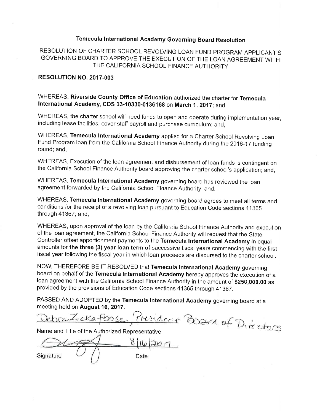## Temecula International Academy Governing Board Resolution

RESOLUTION OF CHARTER SCHOOL REVOLVING LOAN FUND PROGRAM APPLICANT'S GOVERNING BOARD TO APPROVE THE EXECUTION OF THE LOAN AGREEMENT WITH THE CALIFORNIA SCHOOL FINANCE AUTHORITY

#### RESOLUTION NO. 2017-003

WHEREAS, Riverside County Office of Education authorized the charter for Temecula International Academy, CDS 33-10330-0136168 on March 1, 2017; and,

WHEREAS, the charter school will need funds to open and operate during implementation year, including lease facilities, cover staff payroll and purchase curriculum; and,

WHEREAS, Temecula International Academy applied for a Charter School Revolving Loan Fund Program Ioan from the California School Finance Authority during the 2016-17 funding round; and,

WHEREAS, Execution of the loan agreement and disbursement of loan funds is contingent on the California School Finance Authority board approving the charter school's application; and,

WHEREAS, Temecula International Academy governing board has reviewed the loan agreement forwarded by the California School Finance Authority; and.

WHEREAS, Temecula International Academy governing board agrees to meet all terms and conditions for the receipt of a revolving loan pursuant to Education Code sections 41365 through 41367; and,

WHEREAS, upon approval of the loan by the California School Finance Authority and execution of the loan agreement, the California School Finance Authority will request that the State Controller offset apportionment payments to the Temecula International Academy in equal amounts for the three (3) year loan term of successive fiscal years commencing with the first fiscal year following the fiscal year in which loan proceeds are disbursed to the charter school.

NOW, THEREFORE BE IT RESOLVED that Temecula International Academy governing board on behalf of the Temecula International Academy hereby approves the execution of a loan agreement with the California School Finance Authority in the amount of \$250,000.00 as provided by the provisions of Education Code sections 41365 through 41367.

PASSED AND ADOPTED by the Temecula International Academy governing board at a meeting held on August 16, 2017.

President Pora of Directors LICKETOOS

Name and Title of the Authorized Representative

Signature Date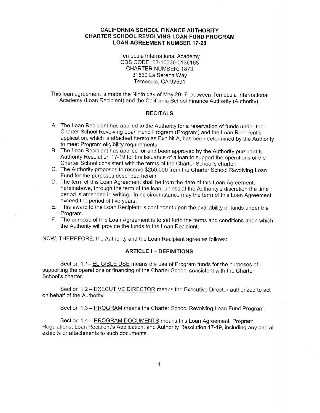Temecula International Academy CDS CODE: 33-10330-0136168 **CHARTER NUMBER: 1873** 31530 La Serena Way Temecula, CA 92591

This loan agreement is made the Ninth day of May 2017, between Temecula International Academy (Loan Recipient) and the California School Finance Authority (Authority).

#### **RECITALS**

- A. The Loan Recipient has applied to the Authority for a reservation of funds under the Charter School Revolving Loan Fund Program (Program) and the Loan Recipient's application, which is attached hereto as Exhibit A, has been determined by the Authority to meet Program eligibility requirements.
- B. The Loan Recipient has applied for and been approved by the Authority pursuant to Authority Resolution 17-19 for the issuance of a loan to support the operations of the Charter School consistent with the terms of the Charter School's charter.
- C. The Authority proposes to reserve \$250,000 from the Charter School Revolving Loan Fund for the purposes described herein.
- D. The term of this Loan Agreement shall be from the date of this Loan Agreement, hereinabove, through the term of the loan, unless at the Authority's discretion the time period is amended in writing. In no circumstance may the term of this Loan Agreement exceed the period of five years.
- E. This award to the Loan Recipient is contingent upon the availability of funds under the Program.
- F. The purpose of this Loan Agreement is to set forth the terms and conditions upon which the Authority will provide the funds to the Loan Recipient.

NOW, THEREFORE, the Authority and the Loan Recipient agree as follows:

#### **ARTICLE I -- DEFINITIONS**

Section 1.1- ELIGIBLE USE means the use of Program funds for the purposes of supporting the operations or financing of the Charter School consistent with the Charter School's charter.

Section 1.2 - EXECUTIVE DIRECTOR means the Executive Director authorized to act on behalf of the Authority.

Section 1.3 - PROGRAM means the Charter School Revolving Loan Fund Program.

Section 1.4 - PROGRAM DOCUMENTS means this Loan Agreement, Program Regulations, Loan Recipient's Application, and Authority Resolution 17-19, including any and all exhibits or attachments to such documents.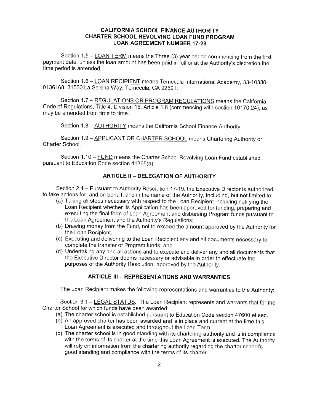Section 1.5 - LOAN TERM means the Three (3) year period commencing from the first payment date, unless the loan amount has been paid in full or at the Authority's discretion the time period is amended.

Section 1.6 - LOAN RECIPIENT means Temecula International Academy, 33-10330-0136168, 31530 La Serena Way, Temecula, CA 92591.

Section 1.7 - REGULATIONS OR PROGRAM REGULATIONS means the California Code of Regulations, Title 4, Division 15, Article 1.6 (commencing with section 10170.24), as may be amended from time to time.

Section 1.8 - **AUTHORITY** means the California School Finance Authority.

Section 1.9 - APPLICANT OR CHARTER SCHOOL means Chartering Authority or Charter School.

Section 1.10 - FUND means the Charter School Revolving Loan Fund established pursuant to Education Code section 41365(a).

#### **ARTICLE II - DELEGATION OF AUTHORITY**

Section 2.1 - Pursuant to Authority Resolution 17-19, the Executive Director is authorized to take actions for, and on behalf, and in the name of the Authority, including, but not limited to:

- (a) Taking all steps necessary with respect to the Loan Recipient including notifying the Loan Recipient whether its Application has been approved for funding, preparing and executing the final form of Loan Agreement and disbursing Program funds pursuant to the Loan Agreement and the Authority's Regulations;
- (b) Drawing money from the Fund, not to exceed the amount approved by the Authority for the Loan Recipient.
- (c) Executing and delivering to the Loan Recipient any and all documents necessary to complete the transfer of Program funds; and
- (d) Undertaking any and all actions and to execute and deliver any and all documents that the Executive Director deems necessary or advisable in order to effectuate the purposes of the Authority Resolution approved by the Authority.

### **ARTICLE III - REPRESENTATIONS AND WARRANTIES**

The Loan Recipient makes the following representations and warranties to the Authority:

Section 3.1 – LEGAL STATUS. The Loan Recipient represents and warrants that for the Charter School for which funds have been awarded:

- (a) The charter school is established pursuant to Education Code section 47600 et seq.
- (b) An approved charter has been awarded and is in place and current at the time this Loan Agreement is executed and throughout the Loan Term.
- (c) The charter school is in good standing with its chartering authority and is in compliance with the terms of its charter at the time this Loan Agreement is executed. The Authority will rely on information from the chartering authority regarding the charter school's good standing and compliance with the terms of its charter.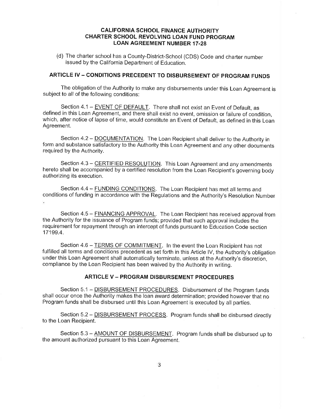(d) The charter school has a County-District-School (CDS) Code and charter number issued by the California Department of Education.

## ARTICLE IV - CONDITIONS PRECEDENT TO DISBURSEMENT OF PROGRAM FUNDS

The obligation of the Authority to make any disbursements under this Loan Agreement is subject to all of the following conditions:

Section 4.1 - EVENT OF DEFAULT. There shall not exist an Event of Default, as defined in this Loan Agreement, and there shall exist no event, omission or failure of condition, which, after notice of lapse of time, would constitute an Event of Default, as defined in this Loan Agreement.

Section 4.2 - DOCUMENTATION. The Loan Recipient shall deliver to the Authority in form and substance satisfactory to the Authority this Loan Agreement and any other documents required by the Authority.

Section 4.3 - CERTIFIED RESOLUTION. This Loan Agreement and any amendments hereto shall be accompanied by a certified resolution from the Loan Recipient's governing body authorizing its execution.

Section 4.4 - FUNDING CONDITIONS. The Loan Recipient has met all terms and conditions of funding in accordance with the Regulations and the Authority's Resolution Number

Section 4.5 - FINANCING APPROVAL. The Loan Recipient has received approval from the Authority for the issuance of Program funds; provided that such approval includes the requirement for repayment through an intercept of funds pursuant to Education Code section 17199.4.

Section 4.6 - TERMS OF COMMITMENT. In the event the Loan Recipient has not fulfilled all terms and conditions precedent as set forth in this Article IV, the Authority's obligation under this Loan Agreement shall automatically terminate, unless at the Authority's discretion, compliance by the Loan Recipient has been waived by the Authority in writing.

#### **ARTICLE V - PROGRAM DISBURSEMENT PROCEDURES**

Section 5.1 - DISBURSEMENT PROCEDURES. Disbursement of the Program funds shall occur once the Authority makes the loan award determination; provided however that no Program funds shall be disbursed until this Loan Agreement is executed by all parties.

Section 5.2 - DISBURSEMENT PROCESS. Program funds shall be disbursed directly to the Loan Recipient.

Section 5.3 - AMOUNT OF DISBURSEMENT. Program funds shall be disbursed up to the amount authorized pursuant to this Loan Agreement.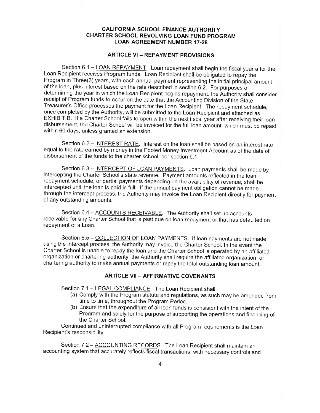#### **ARTICLE VI - REPAYMENT PROVISIONS**

Section 6.1 - LOAN REPAYMENT. Loan repayment shall begin the fiscal year after the Loan Recipient receives Program funds. Loan Recipient shall be obligated to repay the Program in Three(3) years, with each annual payment representing the initial principal amount of the loan, plus interest based on the rate described in section 6.2. For purposes of determining the year in which the Loan Recipient begins repayment, the Authority shall consider receipt of Program funds to occur on the date that the Accounting Division of the State Treasurer's Office processes the payment for the Loan Recipient. The repayment schedule, once completed by the Authority, will be submitted to the Loan Recipient and attached as EXHIBIT B. If a Charter School fails to open within the next fiscal year after receiving their loan disbursement, the Charter School will be invoiced for the full loan amount, which must be repaid within 60 days, unless granted an extension.

Section 6.2 – INTEREST RATE. Interest on the loan shall be based on an interest rate equal to the rate earned by money in the Pooled Money Investment Account as of the date of disbursement of the funds to the charter school, per section 6.1.

Section 6.3 - INTERCEPT OF LOAN PAYMENTS. Loan payments shall be made by intercepting the Charter School's state revenue. Payment amounts reflected in the loan repayment schedule, or partial payments depending on the availability of revenue, shall be intercepted until the loan is paid in full. If the annual payment obligation cannot be made through the intercept process, the Authority may invoice the Loan Recipient directly for payment of any outstanding amounts.

Section 6.4 - ACCOUNTS RECEIVABLE. The Authority shall set up accounts receivable for any Charter School that is past due on loan repayment or that has defaulted on repayment of a Loan.

Section 6.5 - COLLECTION OF LOAN PAYMENTS. If loan payments are not made using the intercept process, the Authority may invoice the Charter School. In the event the Charter School is unable to repay the loan and the Charter School is operated by an affiliated organization or chartering authority, the Authority shall require the affiliated organization or chartering authority to make annual payments or repay the total outstanding loan amount.

#### **ARTICLE VII - AFFIRMATIVE COVENANTS**

Section 7.1 - LEGAL COMPLIANCE. The Loan Recipient shall:

- (a) Comply with the Program statute and regulations, as such may be amended from time to time, throughout the Program Period.
- (b) Ensure that the expenditure of all loan funds is consistent with the intent of the Program and solely for the purpose of supporting the operations and financing of the Charter School.

Continued and uninterrupted compliance with all Program requirements is the Loan Recipient's responsibility.

Section 7.2 - ACCOUNTING RECORDS. The Loan Recipient shall maintain an accounting system that accurately reflects fiscal transactions, with necessary controls and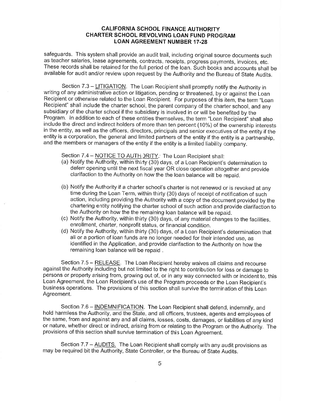safeguards. This system shall provide an audit trail, including original source documents such as teacher salaries, lease agreements, contracts, receipts, progress payments, invoices, etc. These records shall be retained for the full period of the loan. Such books and accounts shall be available for audit and/or review upon request by the Authority and the Bureau of State Audits.

Section 7.3 - LITIGATION. The Loan Recipient shall promptly notify the Authority in writing of any administrative action or litigation, pending or threatened, by or against the Loan Recipient or otherwise related to the Loan Recipient. For purposes of this item, the term "Loan Recipient" shall include the charter school, the parent company of the charter school, and any subsidiary of the charter school if the subsidiary is involved in or will be benefited by the Program. In addition to each of these entities themselves, the term "Loan Recipient" shall also include the direct and indirect holders of more than ten percent (10%) of the ownership interests in the entity, as well as the officers, directors, principals and senior executives of the entity if the entity is a corporation, the general and limited partners of the entity if the entity is a partnership. and the members or managers of the entity if the entity is a limited liability company.

Section 7.4 - NOTICE TO AUTH DRITY. The Loan Recipient shall:

- (a) Notify the Authority, within thirty (30) days, of a Loan Recipient's determination to deferr opening until the next fiscal year OR close operation altogether and provide clarifaction to the Authority on how the the loan balance will be repaid.
- (b) Notify the Authority if a charter school's charter is not renewed or is revoked at any time during the Loan Term, within thirty (30) days of receipt of notification of such action, including providing the Authority with a copy of the document provided by the chartering entity notifying the charter school of such action and provide clarifaction to the Authority on how the the remaining loan balance will be repaid.
- (c) Notify the Authority, within thirty (30) days, of any material changes to the facilities, enrollment, charter, nonprofit status, or financial condition.
- (d) Notify the Authority, within thirty (30) days, of a Loan Recipient's determination that all or a portion of loan funds are no longer needed for their intended use, as identified in the Application, and provide clarifaction to the Authority on how the remaining loan balance will be repaid.

Section 7.5 - RELEASE. The Loan Recipient hereby waives all claims and recourse against the Authority including but not limited to the right to contribution for loss or damage to persons or property arising from, growing out of, or in any way connected with or incident to, this Loan Agreement, the Loan Recipient's use of the Program proceeds or the Loan Recipient's business operations. The provisions of this section shall survive the termination of this Loan Agreement.

Section 7.6 - INDEMNIFICATION. The Loan Recipient shall defend, indemnify, and hold harmless the Authority, and the State, and all officers, trustees, agents and employees of the same, from and against any and all claims, losses, costs, damages, or liabilities of any kind or nature, whether direct or indirect, arising from or relating to the Program or the Authority. The provisions of this section shall survive termination of this Loan Agreement.

Section 7.7 – AUDITS. The Loan Recipient shall comply with any audit provisions as may be required bit the Authority, State Controller, or the Bureau of State Audits.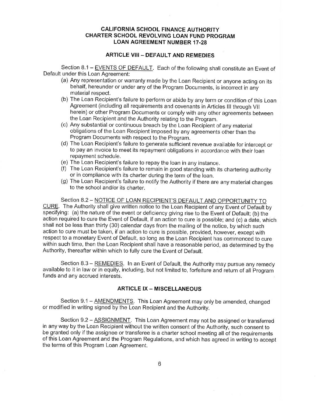#### **ARTICLE VIII - DEFAULT AND REMEDIES**

Section 8.1 - EVENTS OF DEFAULT. Each of the following shall constitute an Event of Default under this Loan Agreement:

- (a) Any representation or warranty made by the Loan Recipient or anyone acting on its behalf, hereunder or under any of the Program Documents, is incorrect in any material resoect.
- (b) The Loan Recipient's failure to perform or abide by any term or condition of this Loan Agreement (including all requirements and covenants in Articles III through VII herein) or other Program Documents or comply with any other agreements between the Loan Recipient and the Authority relating to the Program.
- (c) Any substantial or continuous breach by the Loan Recipient of any material obligations of the Loan Recipient imposed by any agreements other than the Program Documents with respect to the Program.
- (d) The Loan Recipient's failure to generate sufficient revenue available for intercept or to pay an invoice to meet its repayment obligations in accordance with their loan repayment schedule.<br>(e) The Loan Recipient's failure to repay the loan in any instance.
- 
- $(f)$  The Loan Recipient's failure to remain in good standing with its chartering authority or in compliance with its charter during the term of the loan.
- (g) The Loan Recipient's failure to notify the Authority if there are any material changes to the school and/or its charter.

Section 8.2 - NOTICE OF LOAN RECIPIENT'S DEFAULT AND OPPORTUNITY TO CURE. The Authority shall give written notice to the Loan Recipient of any Event of Default by specifying: (a) the nature of the event or deficiency giving rise to the Event of Default; (b) the action required to cure the Event of Default, if an action to cure is possible; and (c) a date, which shall not be less than thirty (30) calendar days from the mailing of the notice, by which such action to cure must be taken, if an action to cure is possible, provided, however, except with respect to a monetary Event of Default, so long as the Loan Recipient has commenced to cure within such time, then the Loan Recipient shall have a reasonable period, as determined by the huthority, thereafter within which to fully cure the Event of Default.

Section 8.3 – REMEDIES. In an Event of Default, the Authority may pursue any remedy available to it in law or in equity, including, but not limited to, forfeiture and return of all Program funds and any accrued interests.

#### **ARTICLE IX - MISCELLANEOUS**

Section 9.1 - AMENDMENTS. This Loan Agreement may only be amended, changed or modified in writing signed by the Loan Recipient and the Authority.

Section 9.2 - ASSIGNMENT. This Loan Agreement may not be assigned or transferred in any way by the Loan Recipient without the written consent of the Authority, such consent to be granted only if the assignee or transferee is a charter school meeting all of the requirements of this Loan Agreement and the Program Regulations, and which has agreed in writing to accept the terms of this Program Loan Agreement.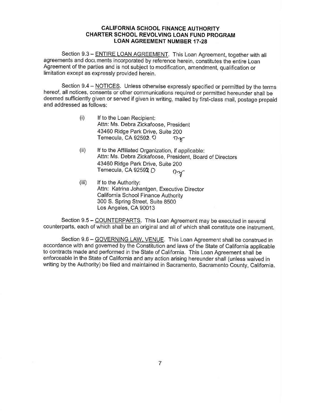Section 9.3 - ENTIRE LOAN AGREEMENT. This Loan Agreement, together with all agreements and doct ments incorporated by reference herein, constitutes the entire Loan Agreement of the parties and is not subject to modification, amendment, qualification or limitation except as expressly provided herein.

Section 9.4 - NOTICES. Unless otherwise expressly specified or permitted by the terms hereof, all notices, consents or other communications required or permitted hereunder shall be deemed sufficiently given or served if given in writing, mailed by first-class mail, postage prepaid and addressed as follows:

- (i) lf to the Loan Recipient: Attn: Ms. Debra Zickafoose, President 43460 Ridge Park Drive, Suite 200 Temecula, CA 92592. O  $\eta_{\mathcal{K}}$
- (ii) If to the Affiliated Organization, if applicable: Attn: Ms. Debra Zickafoose, President, Board of Directors 43460 Ridge Park Drive, Suite 200 Temecula, CA 92592 D  $Q_{\gamma}$
- (iii) lf to the Authority: Attn: Katrina Johantgen, Executive Director California School Finance Authority 300 S. Spring Street, Suite 8500 Los Angeles, CA 90013

Section 9.5 - COUNTERPARTS. This Loan Agreement may be executed in several counterpatrts, each of which shall be an original and all of which shall constitute one instrument.

Section 9.6 - GOVERNING LAW, VENUE. This Loan Agreement shall be construed in accordance with and governed by the Constitution and laws of the State of California applicable to contracts made and performed in the State of California. This Loan Agreement shall be ernforceable in the State of California and any action arising hereunder shall (unless waived in writing by the Authority) be filed and maintained in Sacramento, Sacramento County, California.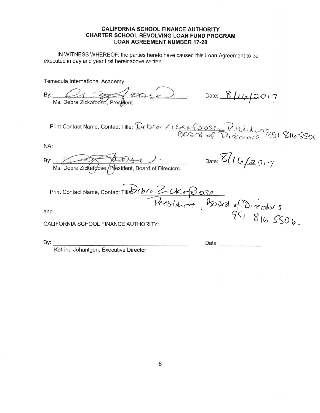IN WITNESS WHEREOF, the parties hereto have caused this Loan Agreement to be executed in day and year first hereinabove written.

Temecula International Academy:

| Date: $8/16/3017$<br>By:<br>Ms. Debra Zickafoose, President                                                        |  |
|--------------------------------------------------------------------------------------------------------------------|--|
| Print Contact Name, Contact Title: Debra ZIEK&foose, Pulidentary 816 SSOI                                          |  |
| NA:                                                                                                                |  |
| Date: $8/16/20/7$<br>$\mathcal{D}$ s ().<br>By:<br>Ms. Debra Zickafoose / President, Board of Directors            |  |
| Ms. Louis<br>Print Contact Name, Contact Title 21b/a Z. CKar Bose<br>Residurat, Bard of Directors<br>951 816 5506. |  |
| and                                                                                                                |  |
| CALIFORNIA SCHOOL FINANCE AUTHORITY:                                                                               |  |
| By:<br>Date: <b>Date:</b><br>Katrina Johantgen, Executive Director                                                 |  |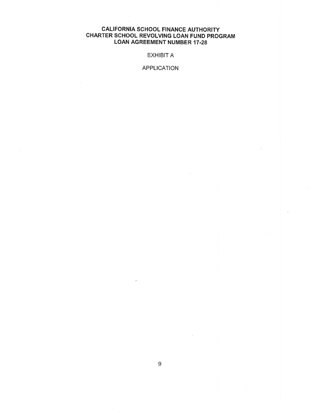## EXHIBIT A

#### APPLICATION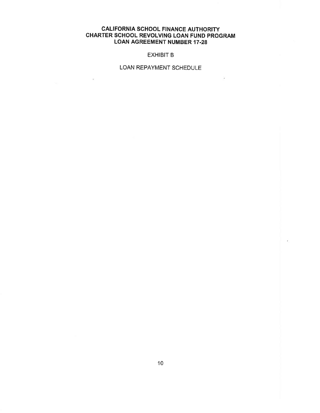#### EXHIBIT B

## LOAN REPAYMENT SCHEDULE